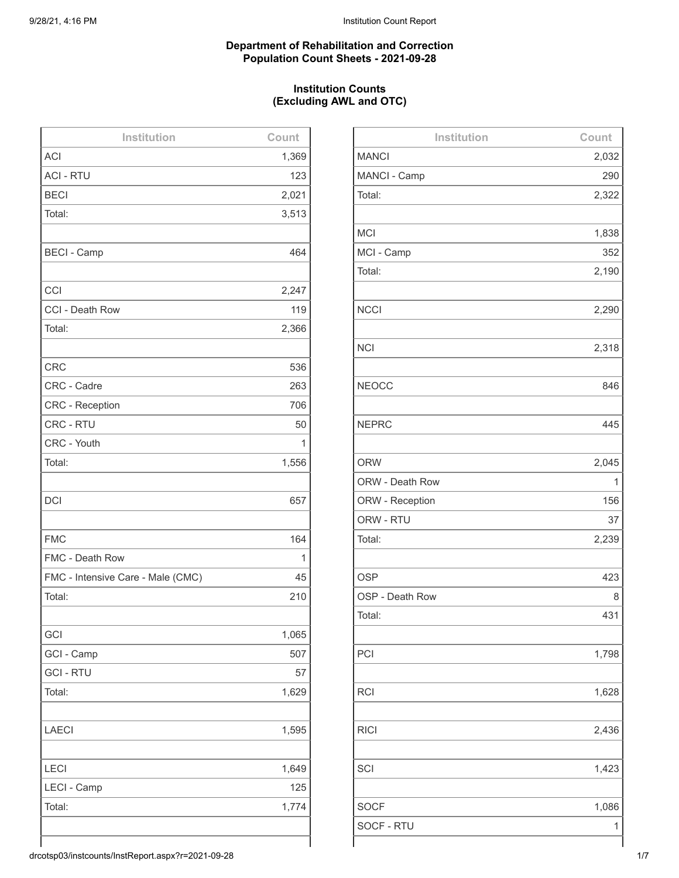#### **Department of Rehabilitation and Correction Population Count Sheets - 2021-09-28**

# **Institution Counts (Excluding AWL and OTC)**

| Institution                       | Count |
|-----------------------------------|-------|
| <b>ACI</b>                        | 1,369 |
| <b>ACI - RTU</b>                  | 123   |
| <b>BECI</b>                       | 2,021 |
| Total:                            | 3,513 |
|                                   |       |
| <b>BECI - Camp</b>                | 464   |
|                                   |       |
| CCI                               | 2,247 |
| CCI - Death Row                   | 119   |
| Total:                            | 2,366 |
|                                   |       |
| <b>CRC</b>                        | 536   |
| CRC - Cadre                       | 263   |
| <b>CRC - Reception</b>            | 706   |
| CRC - RTU                         | 50    |
| CRC - Youth                       | 1     |
| Total:                            | 1,556 |
|                                   |       |
| <b>DCI</b>                        | 657   |
|                                   |       |
| <b>FMC</b>                        | 164   |
| FMC - Death Row                   | 1     |
| FMC - Intensive Care - Male (CMC) | 45    |
| Total:                            | 210   |
|                                   |       |
| GCI                               | 1,065 |
| GCI - Camp                        | 507   |
| <b>GCI - RTU</b>                  | 57    |
| Total:                            | 1,629 |
|                                   |       |
| <b>LAECI</b>                      | 1,595 |
|                                   |       |
| LECI                              | 1,649 |
| LECI - Camp                       | 125   |
| Total:                            | 1,774 |
|                                   |       |
|                                   |       |

| Institution     | Count |
|-----------------|-------|
| <b>MANCI</b>    | 2,032 |
| MANCI - Camp    | 290   |
| Total:          | 2,322 |
|                 |       |
| <b>MCI</b>      | 1,838 |
| MCI - Camp      | 352   |
| Total:          | 2,190 |
|                 |       |
| <b>NCCI</b>     | 2,290 |
|                 |       |
| <b>NCI</b>      | 2,318 |
|                 |       |
| <b>NEOCC</b>    | 846   |
|                 |       |
| <b>NEPRC</b>    | 445   |
|                 |       |
| <b>ORW</b>      | 2,045 |
| ORW - Death Row | 1     |
| ORW - Reception | 156   |
| ORW - RTU       | 37    |
| Total:          | 2,239 |
|                 |       |
| <b>OSP</b>      | 423   |
| OSP - Death Row | 8     |
| Total:          | 431   |
|                 |       |
| PCI             | 1,798 |
|                 |       |
| <b>RCI</b>      | 1,628 |
|                 |       |
| <b>RICI</b>     | 2,436 |
|                 |       |
| SCI             | 1,423 |
|                 |       |
| <b>SOCF</b>     | 1,086 |
| SOCF - RTU      | 1     |
|                 |       |

drcotsp03/instcounts/InstReport.aspx?r=2021-09-28 1/7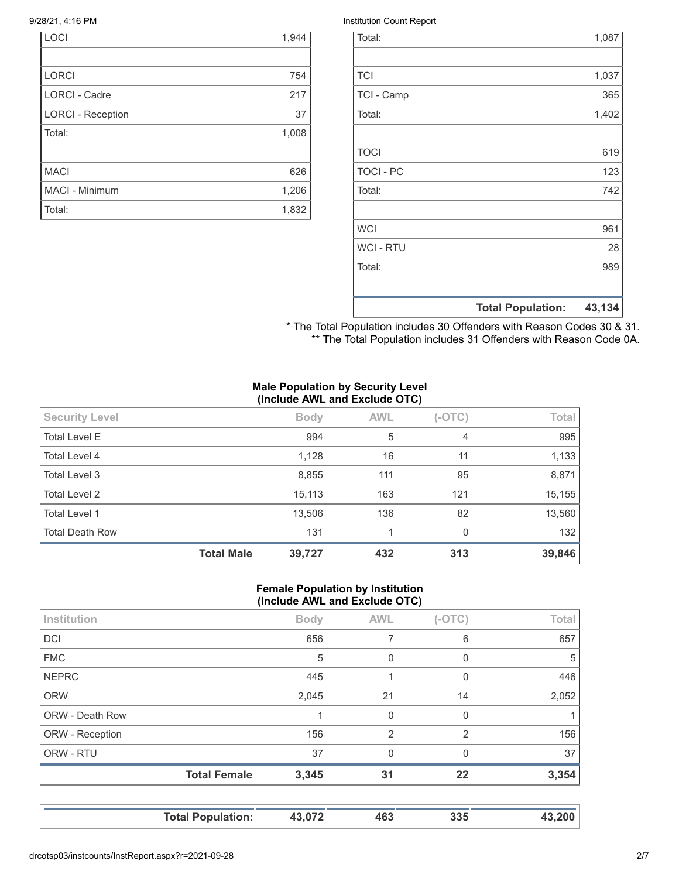| <b>LOCI</b>              | 1,944 |
|--------------------------|-------|
|                          |       |
| <b>LORCI</b>             | 754   |
| <b>LORCI - Cadre</b>     | 217   |
| <b>LORCI - Reception</b> | 37    |
| Total:                   | 1,008 |
|                          |       |
| <b>MACI</b>              | 626   |
| MACI - Minimum           | 1,206 |
| Total:                   | 1,832 |

#### 9/28/21, 4:16 PM Institution Count Report

| Total:           |                          | 1,087  |
|------------------|--------------------------|--------|
|                  |                          |        |
| <b>TCI</b>       |                          | 1,037  |
| TCI - Camp       |                          | 365    |
| Total:           |                          | 1,402  |
|                  |                          |        |
| <b>TOCI</b>      |                          | 619    |
| <b>TOCI - PC</b> |                          | 123    |
| Total:           |                          | 742    |
|                  |                          |        |
| <b>WCI</b>       |                          | 961    |
| <b>WCI - RTU</b> |                          | 28     |
| Total:           |                          | 989    |
|                  |                          |        |
|                  | <b>Total Population:</b> | 43,134 |

\* The Total Population includes 30 Offenders with Reason Codes 30 & 31. \*\* The Total Population includes 31 Offenders with Reason Code 0A.

## **Male Population by Security Level (Include AWL and Exclude OTC)**

| <b>Security Level</b>  |                   | <b>Body</b> | <b>AWL</b> | $(-OTC)$ | Total  |
|------------------------|-------------------|-------------|------------|----------|--------|
| <b>Total Level E</b>   |                   | 994         | 5          | 4        | 995    |
| Total Level 4          |                   | 1,128       | 16         | 11       | 1,133  |
| Total Level 3          |                   | 8,855       | 111        | 95       | 8,871  |
| Total Level 2          |                   | 15,113      | 163        | 121      | 15,155 |
| Total Level 1          |                   | 13,506      | 136        | 82       | 13,560 |
| <b>Total Death Row</b> |                   | 131         |            | $\Omega$ | 132    |
|                        | <b>Total Male</b> | 39,727      | 432        | 313      | 39,846 |

## **Female Population by Institution (Include AWL and Exclude OTC)**

| Institution     |                     | <b>Body</b> | <b>AWL</b>     | $(-OTC)$       | Total |
|-----------------|---------------------|-------------|----------------|----------------|-------|
| DCI             |                     | 656         | 7              | 6              | 657   |
| <b>FMC</b>      |                     | 5           | $\Omega$       | 0              | 5     |
| <b>NEPRC</b>    |                     | 445         |                | $\Omega$       | 446   |
| <b>ORW</b>      |                     | 2,045       | 21             | 14             | 2,052 |
| ORW - Death Row |                     |             | $\mathbf 0$    | $\Omega$       | 1     |
| ORW - Reception |                     | 156         | $\overline{2}$ | $\overline{2}$ | 156   |
| ORW - RTU       |                     | 37          | $\Omega$       | $\mathbf{0}$   | 37    |
|                 | <b>Total Female</b> | 3,345       | 31             | 22             | 3,354 |
|                 |                     |             |                |                |       |

**Total Population: 43,072 463 335 43,200**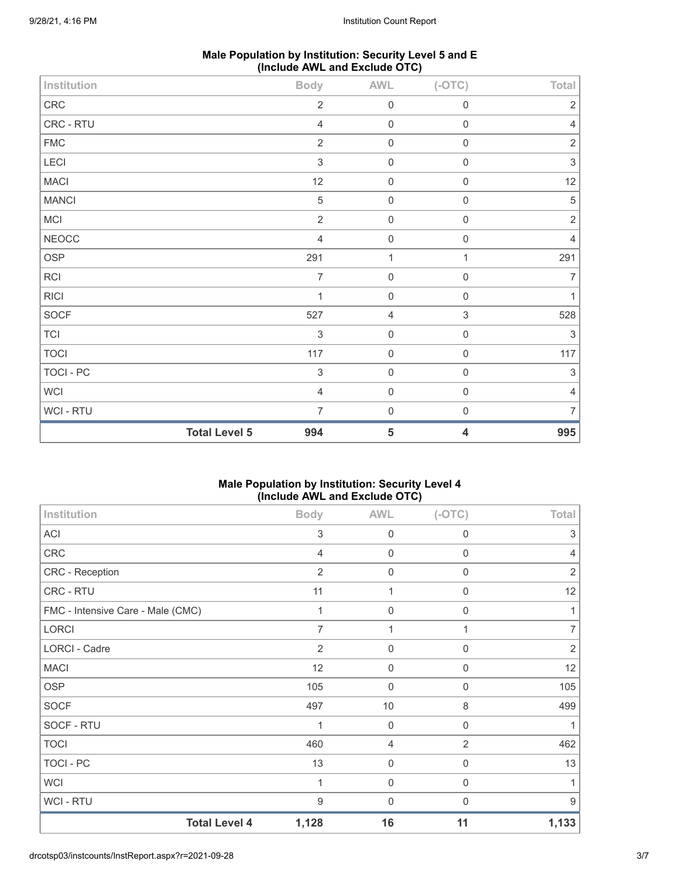| Male Population by Institution: Security Level 5 and E |  |
|--------------------------------------------------------|--|
| (Include AWL and Exclude OTC)                          |  |

|              | <b>Total Level 5</b> | 994                       | $5\phantom{.0}$ | $\overline{\mathbf{4}}$ | 995            |
|--------------|----------------------|---------------------------|-----------------|-------------------------|----------------|
| WCI - RTU    |                      | $\overline{7}$            | $\mathbf 0$     | $\mathsf{O}\xspace$     | $\overline{7}$ |
| WCI          |                      | $\overline{4}$            | $\mathbf 0$     | $\mathsf{O}\xspace$     | $\overline{4}$ |
| TOCI - PC    |                      | $\,$ 3 $\,$               | $\mathbf 0$     | $\mathsf{O}\xspace$     | 3              |
| <b>TOCI</b>  |                      | 117                       | $\mathbf 0$     | $\,0\,$                 | 117            |
| TCI          |                      | $\ensuremath{\mathsf{3}}$ | $\mathbf 0$     | 0                       | $\sqrt{3}$     |
| SOCF         |                      | 527                       | $\overline{4}$  | $\sqrt{3}$              | 528            |
| <b>RICI</b>  |                      | 1                         | $\mathbf 0$     | $\mathsf{O}\xspace$     | $\mathbf{1}$   |
| RCI          |                      | $\overline{7}$            | $\mathbf 0$     | $\mathsf 0$             | $\overline{7}$ |
| OSP          |                      | 291                       | $\mathbf{1}$    | 1                       | 291            |
| NEOCC        |                      | $\overline{4}$            | $\mathbf 0$     | $\mathbf 0$             | $\overline{4}$ |
| <b>MCI</b>   |                      | $\overline{2}$            | $\mathbf 0$     | $\mathbf 0$             | $\sqrt{2}$     |
| <b>MANCI</b> |                      | $\,$ 5 $\,$               | $\mathbf 0$     | $\mathbf 0$             | $\sqrt{5}$     |
| <b>MACI</b>  |                      | 12                        | $\mathbf 0$     | $\mathsf{O}\xspace$     | 12             |
| LECI         |                      | $\sqrt{3}$                | $\mathbf 0$     | $\mathsf{O}\xspace$     | $\sqrt{3}$     |
| ${\sf FMC}$  |                      | $\overline{2}$            | $\mathbf 0$     | $\mathsf{O}\xspace$     | $\sqrt{2}$     |
| CRC - RTU    |                      | $\overline{4}$            | $\mathbf 0$     | $\mathsf{O}\xspace$     | $\overline{4}$ |
| CRC          |                      | $\overline{2}$            | $\mathbf 0$     | $\mathbf 0$             | $\sqrt{2}$     |
| Institution  |                      | <b>Body</b>               | AWL             | $(-OTC)$                | Total          |

# **Male Population by Institution: Security Level 4 (Include AWL and Exclude OTC)**

| Institution                       | <b>Body</b>    | <b>AWL</b>     | $(-OTC)$         | Total          |
|-----------------------------------|----------------|----------------|------------------|----------------|
| <b>ACI</b>                        | 3              | 0              | 0                | 3              |
| <b>CRC</b>                        | 4              | $\mathbf 0$    | $\boldsymbol{0}$ | 4              |
| CRC - Reception                   | $\overline{2}$ | 0              | 0                | $\overline{2}$ |
| CRC - RTU                         | 11             | 1              | $\mathbf 0$      | 12             |
| FMC - Intensive Care - Male (CMC) | 1              | $\mathbf 0$    | $\mathbf 0$      |                |
| <b>LORCI</b>                      | $\overline{7}$ | 1              | 1                | 7              |
| LORCI - Cadre                     | $\overline{2}$ | $\mathbf 0$    | $\Omega$         | $\overline{2}$ |
| <b>MACI</b>                       | 12             | 0              | 0                | 12             |
| <b>OSP</b>                        | 105            | 0              | 0                | 105            |
| <b>SOCF</b>                       | 497            | $10$           | 8                | 499            |
| SOCF - RTU                        | 1              | $\mathbf 0$    | $\mathbf 0$      |                |
| <b>TOCI</b>                       | 460            | $\overline{4}$ | 2                | 462            |
| <b>TOCI - PC</b>                  | 13             | $\mathbf 0$    | $\mathbf 0$      | 13             |
| <b>WCI</b>                        | 1              | 0              | 0                |                |
| WCI - RTU                         | 9              | 0              | 0                | 9              |
| <b>Total Level 4</b>              | 1,128          | 16             | 11               | 1,133          |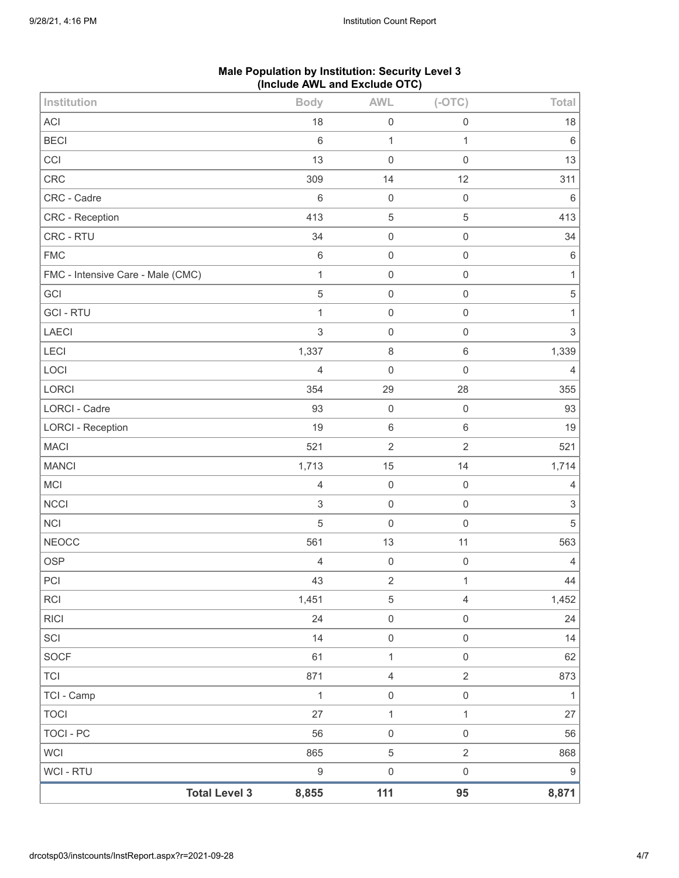|                                   |                  | (include AVVL and Exclude $O(O)$ |                |                           |
|-----------------------------------|------------------|----------------------------------|----------------|---------------------------|
| Institution                       | <b>Body</b>      | <b>AWL</b>                       | $(-OTC)$       | Total                     |
| ACI                               | 18               | $\mathbf 0$                      | $\mathbf 0$    | 18                        |
| <b>BECI</b>                       | $\,6\,$          | $\mathbf{1}$                     | 1              | $\,6\,$                   |
| CCI                               | 13               | $\mathbf 0$                      | $\mathbf 0$    | 13                        |
| CRC                               | 309              | 14                               | 12             | 311                       |
| CRC - Cadre                       | 6                | $\mathbf 0$                      | $\mathbf 0$    | $6\,$                     |
| CRC - Reception                   | 413              | $\mathbf 5$                      | $\mathbf 5$    | 413                       |
| CRC - RTU                         | 34               | $\mathbf 0$                      | $\mathbf 0$    | $34\,$                    |
| <b>FMC</b>                        | $6\,$            | $\mathbf 0$                      | $\mathbf 0$    | $\,6\,$                   |
| FMC - Intensive Care - Male (CMC) | $\mathbf{1}$     | $\mathbf 0$                      | $\mathbf 0$    | $\mathbf{1}$              |
| GCI                               | $\mathbf 5$      | $\mathbf 0$                      | $\mathbf 0$    | $\,$ 5 $\,$               |
| <b>GCI-RTU</b>                    | $\mathbf{1}$     | $\mathbf 0$                      | $\mathbf 0$    | $\mathbf{1}$              |
| LAECI                             | $\sqrt{3}$       | $\mathbf 0$                      | $\mathbf 0$    | $\ensuremath{\mathsf{3}}$ |
| LECI                              | 1,337            | $\,8\,$                          | $\,6\,$        | 1,339                     |
| LOCI                              | $\overline{4}$   | $\mathbf 0$                      | $\mathbf 0$    | $\overline{4}$            |
| <b>LORCI</b>                      | 354              | 29                               | 28             | 355                       |
| <b>LORCI - Cadre</b>              | 93               | $\mathbf 0$                      | $\mathbf 0$    | 93                        |
| <b>LORCI - Reception</b>          | 19               | $\,6\,$                          | $\,6\,$        | 19                        |
| <b>MACI</b>                       | 521              | $\sqrt{2}$                       | $\overline{2}$ | 521                       |
| <b>MANCI</b>                      | 1,713            | 15                               | 14             | 1,714                     |
| MCI                               | $\sqrt{4}$       | $\mathbf 0$                      | $\mathbf 0$    | $\overline{4}$            |
| <b>NCCI</b>                       | $\mathfrak{S}$   | $\mathbf 0$                      | $\mathbf 0$    | $\ensuremath{\mathsf{3}}$ |
| <b>NCI</b>                        | $\overline{5}$   | $\mathbf 0$                      | $\mathbf 0$    | $\sqrt{5}$                |
| <b>NEOCC</b>                      | 561              | 13                               | 11             | 563                       |
| <b>OSP</b>                        | $\overline{4}$   | $\mathbf 0$                      | $\mathbf 0$    | $\overline{4}$            |
| $\sf{PCI}$                        | 43               | $\sqrt{2}$                       | $\mathbf{1}$   | 44                        |
| <b>RCI</b>                        | 1,451            | $\mathbf 5$                      | $\overline{4}$ | 1,452                     |
| <b>RICI</b>                       | 24               | $\mathbf 0$                      | $\mathbf 0$    | 24                        |
| SCI                               | 14               | $\mathbf 0$                      | $\mathbf 0$    | 14                        |
| SOCF                              | 61               | 1                                | $\mathbf 0$    | 62                        |
| <b>TCI</b>                        | 871              | $\overline{4}$                   | $\sqrt{2}$     | 873                       |
| TCI - Camp                        | $\mathbf{1}$     | $\mathbf 0$                      | $\mathbf 0$    | $\mathbf{1}$              |
| <b>TOCI</b>                       | 27               | $\mathbf{1}$                     | $\mathbf{1}$   | 27                        |
| TOCI - PC                         | 56               | $\mathbf 0$                      | $\mathbf 0$    | 56                        |
| <b>WCI</b>                        | 865              | $\,$ 5 $\,$                      | $\sqrt{2}$     | 868                       |
| WCI - RTU                         | $\boldsymbol{9}$ | $\mathbf 0$                      | $\mathbf 0$    | 9                         |
| <b>Total Level 3</b>              | 8,855            | 111                              | 95             | 8,871                     |

# **Male Population by Institution: Security Level 3 (Include AWL and Exclude OTC)**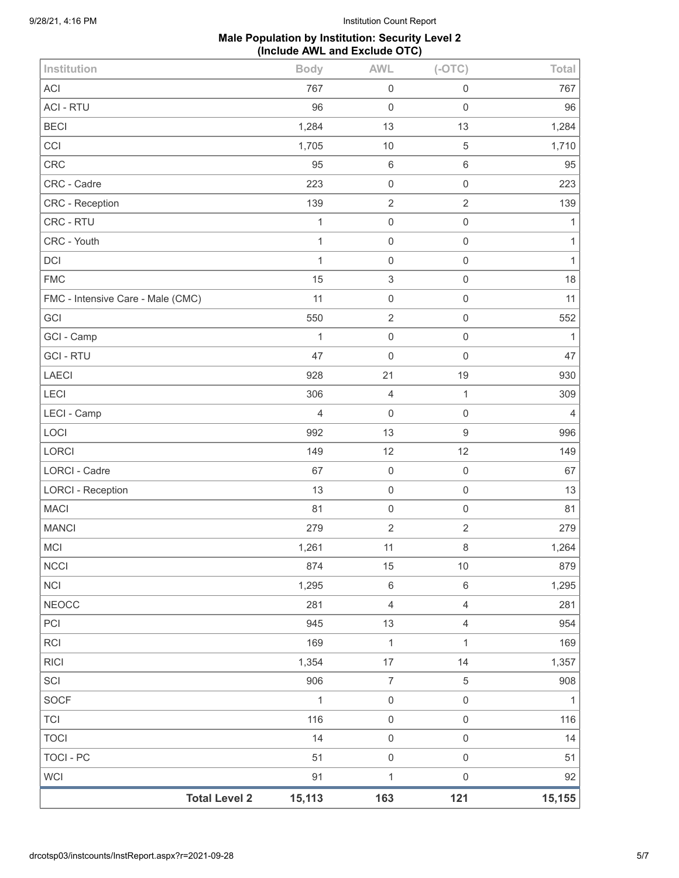#### **Male Population by Institution: Security Level 2 (Include AWL and Exclude OTC)**

| <b>Total Level 2</b>              | 15,113       | 163                       | 121                 | 15,155         |
|-----------------------------------|--------------|---------------------------|---------------------|----------------|
| <b>WCI</b>                        | 91           | $\mathbf{1}$              | $\mathsf{O}\xspace$ | 92             |
| <b>TOCI - PC</b>                  | 51           | $\mathbf 0$               | $\mathsf{O}\xspace$ | 51             |
| <b>TOCI</b>                       | 14           | $\mathbf 0$               | $\mathsf{O}\xspace$ | 14             |
| <b>TCI</b>                        | 116          | $\mathbf 0$               | $\mathsf{O}\xspace$ | 116            |
| <b>SOCF</b>                       | 1            | $\mathbf 0$               | $\mathsf{O}\xspace$ | 1              |
| SCI                               | 906          | $\boldsymbol{7}$          | 5                   | 908            |
| <b>RICI</b>                       | 1,354        | 17                        | 14                  | 1,357          |
| <b>RCI</b>                        | 169          | $\mathbf 1$               | $\mathbf{1}$        | 169            |
| PCI                               | 945          | 13                        | $\overline{4}$      | 954            |
| <b>NEOCC</b>                      | 281          | $\overline{4}$            | $\overline{4}$      | 281            |
| <b>NCI</b>                        | 1,295        | $\,6\,$                   | $6\,$               | 1,295          |
| <b>NCCI</b>                       | 874          | 15                        | $10$                | 879            |
| MCI                               | 1,261        | 11                        | 8                   | 1,264          |
| <b>MANCI</b>                      | 279          | $\sqrt{2}$                | $\overline{2}$      | 279            |
| <b>MACI</b>                       | 81           | $\,0\,$                   | $\mathsf{O}\xspace$ | 81             |
| <b>LORCI - Reception</b>          | 13           | $\mathbf 0$               | $\mathsf{O}\xspace$ | 13             |
| <b>LORCI - Cadre</b>              | 67           | $\mathbf 0$               | $\mathsf{O}\xspace$ | 67             |
| LORCI                             | 149          | 12                        | 12                  | 149            |
| LOCI                              | 992          | 13                        | $\boldsymbol{9}$    | 996            |
| LECI - Camp                       | 4            | $\mathbf 0$               | $\mathsf{O}\xspace$ | $\overline{4}$ |
| LECI                              | 306          | $\overline{4}$            | $\mathbf{1}$        | 309            |
| LAECI                             | 928          | 21                        | 19                  | 930            |
| <b>GCI-RTU</b>                    | 47           | $\mathbf 0$               | $\mathsf{O}\xspace$ | 47             |
| GCI - Camp                        | 1            | $\mathbf 0$               | $\mathsf{O}\xspace$ | 1              |
| GCI                               | 550          | $\overline{2}$            | $\mathsf{O}\xspace$ | 552            |
| FMC - Intensive Care - Male (CMC) | 11           | $\mathbf 0$               | $\mathsf{O}\xspace$ | 11             |
| <b>FMC</b>                        | 15           | $\ensuremath{\mathsf{3}}$ | $\mathsf{O}\xspace$ | 18             |
| DCI                               | $\mathbf{1}$ | $\mathbf 0$               | $\mathsf{O}\xspace$ | $\mathbf{1}$   |
| CRC - Youth                       | 1            | $\mathbf 0$               | $\mathsf{O}\xspace$ | 1              |
| CRC - RTU                         | 1            | $\mathbf 0$               | $\mathsf 0$         | 1              |
| <b>CRC</b> - Reception            | 139          | $\sqrt{2}$                | $\overline{2}$      | 139            |
| CRC - Cadre                       | 223          | $\,0\,$                   | $\mathsf{O}\xspace$ | 223            |
| <b>CRC</b>                        | 95           | $\,6\,$                   | $\,6$               | 95             |
| CCI                               | 1,705        | 10                        | $\mathbf 5$         | 1,710          |
| <b>BECI</b>                       | 1,284        | 13                        | 13                  | 1,284          |
| <b>ACI - RTU</b>                  | 96           | $\mathbf 0$               | $\mathsf{O}\xspace$ | 96             |
| <b>ACI</b>                        | 767          | $\mathsf 0$               | $\mathsf 0$         | 767            |
| Institution                       | <b>Body</b>  | <b>AWL</b>                | $(-OTC)$            | Total          |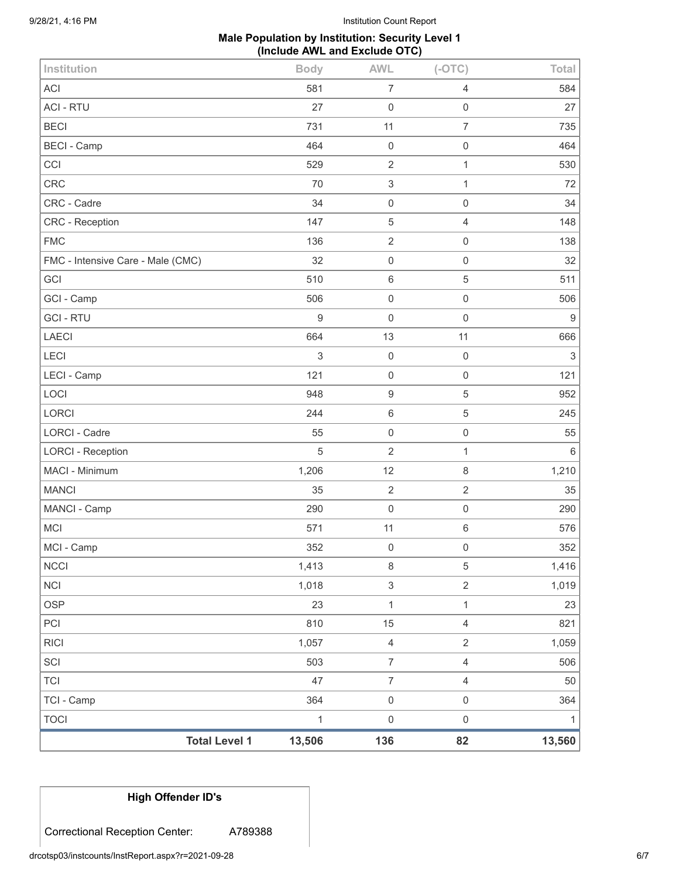# **Male Population by Institution: Security Level 1 (Include AWL and Exclude OTC)**

| <b>Total Level 1</b>              | 13,506       | 136                       | 82                  | 13,560                    |
|-----------------------------------|--------------|---------------------------|---------------------|---------------------------|
| <b>TOCI</b>                       | $\mathbf{1}$ | $\boldsymbol{0}$          | $\mathsf{O}\xspace$ | 1                         |
| TCI - Camp                        | 364          | $\mathbf 0$               | $\mathsf{O}\xspace$ | 364                       |
| <b>TCI</b>                        | 47           | $\overline{7}$            | $\overline{4}$      | 50                        |
| SCI                               | 503          | $\overline{7}$            | $\overline{4}$      | 506                       |
| <b>RICI</b>                       | 1,057        | $\overline{4}$            | $\overline{2}$      | 1,059                     |
| PCI                               | 810          | 15                        | $\overline{4}$      | 821                       |
| <b>OSP</b>                        | 23           | $\mathbf{1}$              | $\mathbf{1}$        | 23                        |
| NCI                               | 1,018        | $\ensuremath{\mathsf{3}}$ | $\overline{2}$      | 1,019                     |
| <b>NCCI</b>                       | 1,413        | $\,8\,$                   | $\,$ 5 $\,$         | 1,416                     |
| MCI - Camp                        | 352          | $\mathbf 0$               | 0                   | 352                       |
| <b>MCI</b>                        | 571          | 11                        | 6                   | 576                       |
| MANCI - Camp                      | 290          | $\mathbf 0$               | $\mathsf{O}\xspace$ | 290                       |
| <b>MANCI</b>                      | 35           | $\overline{2}$            | $\overline{2}$      | 35                        |
| MACI - Minimum                    | 1,206        | 12                        | 8                   | 1,210                     |
| <b>LORCI - Reception</b>          | 5            | $\overline{2}$            | $\mathbf{1}$        | $6\,$                     |
| LORCI - Cadre                     | 55           | $\mathbf 0$               | $\mathsf{O}\xspace$ | 55                        |
| <b>LORCI</b>                      | 244          | $\,6$                     | $\mathbf 5$         | 245                       |
| LOCI                              | 948          | $\boldsymbol{9}$          | $\,$ 5 $\,$         | 952                       |
| LECI - Camp                       | 121          | $\mathbf 0$               | 0                   | 121                       |
| LECI                              | 3            | $\mathbf 0$               | $\mathsf 0$         | $\ensuremath{\mathsf{3}}$ |
| <b>LAECI</b>                      | 664          | 13                        | 11                  | 666                       |
| <b>GCI-RTU</b>                    | 9            | $\mathsf{O}\xspace$       | $\mathsf 0$         | $\boldsymbol{9}$          |
| GCI - Camp                        | 506          | $\mathbf 0$               | $\mathsf{O}\xspace$ | 506                       |
| GCI                               | 510          | $\,6\,$                   | $\mathbf 5$         | 511                       |
| FMC - Intensive Care - Male (CMC) | 32           | $\mathbf 0$               | $\mathsf{O}\xspace$ | 32                        |
| <b>FMC</b>                        | 136          | $\overline{2}$            | 0                   | 138                       |
| CRC - Reception                   | 147          | $\mathbf 5$               | $\overline{4}$      | 148                       |
| CRC - Cadre                       | 34           | $\mathbf 0$               | $\mathsf{O}\xspace$ | 34                        |
| <b>CRC</b>                        | 70           | 3                         | $\mathbf{1}$        | 72                        |
| CCI                               | 529          | $\overline{2}$            | $\mathbf{1}$        | 530                       |
| <b>BECI - Camp</b>                | 464          | $\mathbf 0$               | $\mathsf{O}\xspace$ | 464                       |
| <b>BECI</b>                       | 731          | 11                        | $\overline{7}$      | 735                       |
| <b>ACI - RTU</b>                  | 27           | $\mathbf 0$               | 0                   | 27                        |
| ACI                               | 581          | $\overline{7}$            | 4                   | 584                       |
| Institution                       | <b>Body</b>  | <b>AWL</b>                | $(-OTC)$            | Total                     |

**High Offender ID's**

Correctional Reception Center: A789388